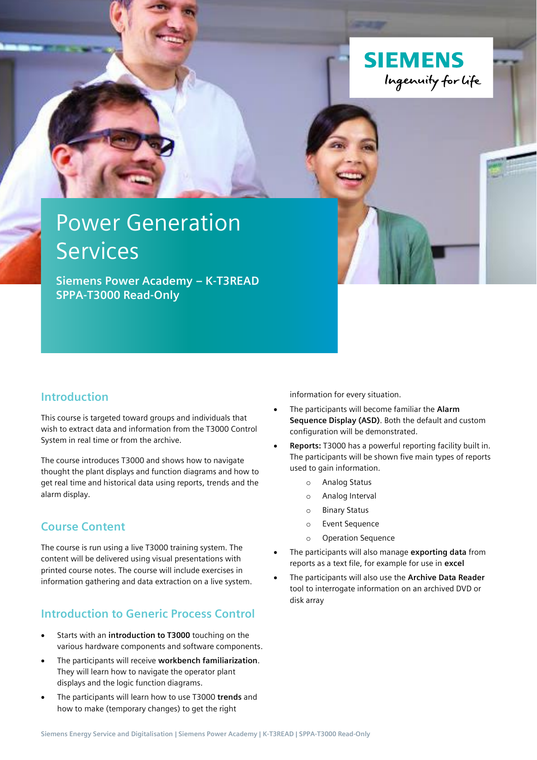

# Power Generation **Services**

**Siemens Power Academy – K-T3READ SPPA-T3000 Read-Only**

### **Introduction**

This course is targeted toward groups and individuals that wish to extract data and information from the T3000 Control System in real time or from the archive.

The course introduces T3000 and shows how to navigate thought the plant displays and function diagrams and how to get real time and historical data using reports, trends and the alarm display.

#### **Course Content**

The course is run using a live T3000 training system. The content will be delivered using visual presentations with printed course notes. The course will include exercises in information gathering and data extraction on a live system.

## **Introduction to Generic Process Control**

- Starts with an **introduction to T3000** touching on the various hardware components and software components.
- The participants will receive **workbench familiarization**. They will learn how to navigate the operator plant displays and the logic function diagrams.
- The participants will learn how to use T3000 **trends** and how to make (temporary changes) to get the right

information for every situation.

- The participants will become familiar the **Alarm Sequence Display (ASD)**. Both the default and custom configuration will be demonstrated.
- **Reports:** T3000 has a powerful reporting facility built in. The participants will be shown five main types of reports used to gain information.
	- o Analog Status
	- o Analog Interval
	- o Binary Status
	- o Event Sequence
	- o Operation Sequence
- The participants will also manage **exporting data** from reports as a text file, for example for use in **excel**
- The participants will also use the **Archive Data Reader** tool to interrogate information on an archived DVD or disk array